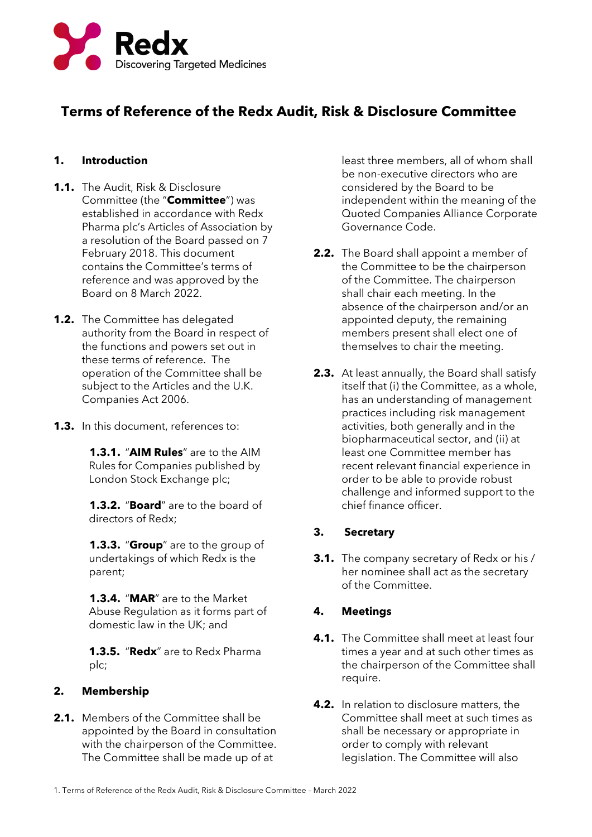

# **Terms of Reference of the Redx Audit, Risk & Disclosure Committee**

# **1. Introduction**

- **1.1.** The Audit, Risk & Disclosure Committee (the "**Committee**") was established in accordance with Redx Pharma plc's Articles of Association by a resolution of the Board passed on 7 February 2018. This document contains the Committee's terms of reference and was approved by the Board on 8 March 2022.
- **1.2.** The Committee has delegated authority from the Board in respect of the functions and powers set out in these terms of reference. The operation of the Committee shall be subject to the Articles and the U.K. Companies Act 2006.
- **1.3.** In this document, references to:

**1.3.1.** "**AIM Rules**" are to the AIM Rules for Companies published by London Stock Exchange plc;

**1.3.2.** "**Board**" are to the board of directors of Redx;

**1.3.3.** "**Group**" are to the group of undertakings of which Redx is the parent;

**1.3.4.** "**MAR**" are to the Market Abuse Regulation as it forms part of domestic law in the UK; and

**1.3.5.** "**Redx**" are to Redx Pharma plc;

# **2. Membership**

**2.1.** Members of the Committee shall be appointed by the Board in consultation with the chairperson of the Committee. The Committee shall be made up of at

least three members, all of whom shall be non-executive directors who are considered by the Board to be independent within the meaning of the Quoted Companies Alliance Corporate Governance Code.

- **2.2.** The Board shall appoint a member of the Committee to be the chairperson of the Committee. The chairperson shall chair each meeting. In the absence of the chairperson and/or an appointed deputy, the remaining members present shall elect one of themselves to chair the meeting.
- **2.3.** At least annually, the Board shall satisfy itself that (i) the Committee, as a whole, has an understanding of management practices including risk management activities, both generally and in the biopharmaceutical sector, and (ii) at least one Committee member has recent relevant financial experience in order to be able to provide robust challenge and informed support to the chief finance officer.

# **3. Secretary**

**3.1.** The company secretary of Redx or his / her nominee shall act as the secretary of the Committee.

# **4. Meetings**

- **4.1.** The Committee shall meet at least four times a year and at such other times as the chairperson of the Committee shall require.
- **4.2.** In relation to disclosure matters, the Committee shall meet at such times as shall be necessary or appropriate in order to comply with relevant legislation. The Committee will also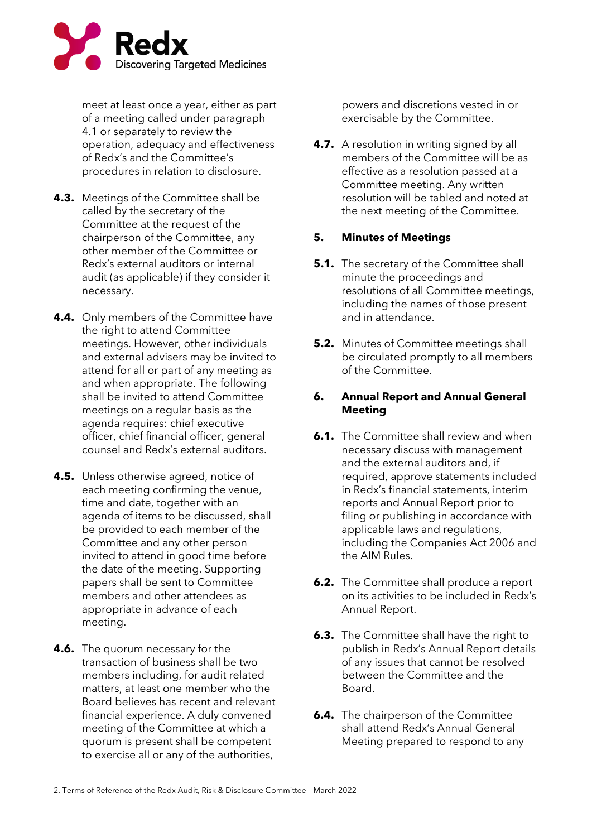

meet at least once a year, either as part of a meeting called under paragraph 4.1 or separately to review the operation, adequacy and effectiveness of Redx's and the Committee's procedures in relation to disclosure.

- **4.3.** Meetings of the Committee shall be called by the secretary of the Committee at the request of the chairperson of the Committee, any other member of the Committee or Redx's external auditors or internal audit (as applicable) if they consider it necessary.
- **4.4.** Only members of the Committee have the right to attend Committee meetings. However, other individuals and external advisers may be invited to attend for all or part of any meeting as and when appropriate. The following shall be invited to attend Committee meetings on a regular basis as the agenda requires: chief executive officer, chief financial officer, general counsel and Redx's external auditors.
- **4.5.** Unless otherwise agreed, notice of each meeting confirming the venue, time and date, together with an agenda of items to be discussed, shall be provided to each member of the Committee and any other person invited to attend in good time before the date of the meeting. Supporting papers shall be sent to Committee members and other attendees as appropriate in advance of each meeting.
- **4.6.** The quorum necessary for the transaction of business shall be two members including, for audit related matters, at least one member who the Board believes has recent and relevant financial experience. A duly convened meeting of the Committee at which a quorum is present shall be competent to exercise all or any of the authorities,

powers and discretions vested in or exercisable by the Committee.

**4.7.** A resolution in writing signed by all members of the Committee will be as effective as a resolution passed at a Committee meeting. Any written resolution will be tabled and noted at the next meeting of the Committee.

# **5. Minutes of Meetings**

- **5.1.** The secretary of the Committee shall minute the proceedings and resolutions of all Committee meetings, including the names of those present and in attendance.
- **5.2.** Minutes of Committee meetings shall be circulated promptly to all members of the Committee.

## **6. Annual Report and Annual General Meeting**

- **6.1.** The Committee shall review and when necessary discuss with management and the external auditors and, if required, approve statements included in Redx's financial statements, interim reports and Annual Report prior to filing or publishing in accordance with applicable laws and regulations, including the Companies Act 2006 and the AIM Rules.
- **6.2.** The Committee shall produce a report on its activities to be included in Redx's Annual Report.
- **6.3.** The Committee shall have the right to publish in Redx's Annual Report details of any issues that cannot be resolved between the Committee and the Board.
- **6.4.** The chairperson of the Committee shall attend Redx's Annual General Meeting prepared to respond to any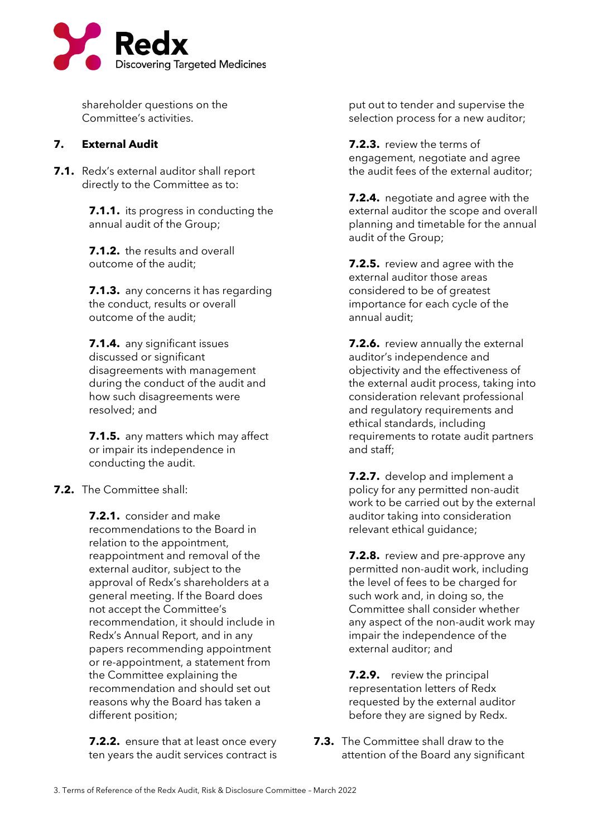

shareholder questions on the Committee's activities.

## **7. External Audit**

**7.1.** Redx's external auditor shall report directly to the Committee as to:

> **7.1.1.** its progress in conducting the annual audit of the Group;

**7.1.2.** the results and overall outcome of the audit;

**7.1.3.** any concerns it has regarding the conduct, results or overall outcome of the audit;

**7.1.4.** any significant issues discussed or significant disagreements with management during the conduct of the audit and how such disagreements were resolved; and

**7.1.5.** any matters which may affect or impair its independence in conducting the audit.

#### **7.2.** The Committee shall:

**7.2.1.** consider and make recommendations to the Board in relation to the appointment, reappointment and removal of the external auditor, subject to the approval of Redx's shareholders at a general meeting. If the Board does not accept the Committee's recommendation, it should include in Redx's Annual Report, and in any papers recommending appointment or re-appointment, a statement from the Committee explaining the recommendation and should set out reasons why the Board has taken a different position;

**7.2.2.** ensure that at least once every ten years the audit services contract is put out to tender and supervise the selection process for a new auditor;

**7.2.3.** review the terms of engagement, negotiate and agree the audit fees of the external auditor;

**7.2.4.** negotiate and agree with the external auditor the scope and overall planning and timetable for the annual audit of the Group;

**7.2.5.** review and agree with the external auditor those areas considered to be of greatest importance for each cycle of the annual audit;

**7.2.6.** review annually the external auditor's independence and objectivity and the effectiveness of the external audit process, taking into consideration relevant professional and regulatory requirements and ethical standards, including requirements to rotate audit partners and staff;

**7.2.7.** develop and implement a policy for any permitted non-audit work to be carried out by the external auditor taking into consideration relevant ethical guidance;

**7.2.8.** review and pre-approve any permitted non-audit work, including the level of fees to be charged for such work and, in doing so, the Committee shall consider whether any aspect of the non-audit work may impair the independence of the external auditor; and

**7.2.9.** review the principal representation letters of Redx requested by the external auditor before they are signed by Redx.

**7.3.** The Committee shall draw to the attention of the Board any significant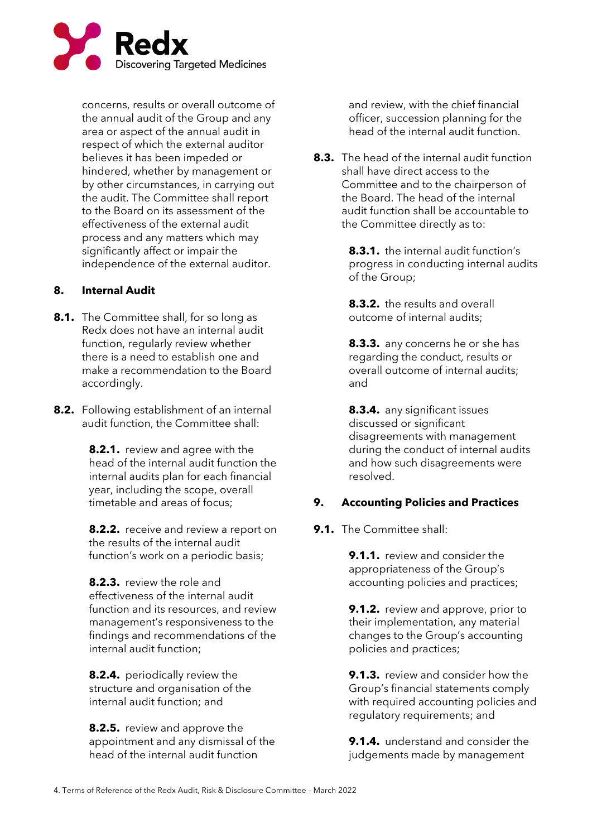

concerns, results or overall outcome of the annual audit of the Group and any area or aspect of the annual audit in respect of which the external auditor believes it has been impeded or hindered, whether by management or by other circumstances, in carrying out the audit. The Committee shall report to the Board on its assessment of the effectiveness of the external audit process and any matters which may significantly affect or impair the independence of the external auditor.

## **8. Internal Audit**

- **8.1.** The Committee shall, for so long as Redx does not have an internal audit function, regularly review whether there is a need to establish one and make a recommendation to the Board accordingly.
- **8.2.** Following establishment of an internal audit function, the Committee shall:

**8.2.1.** review and agree with the head of the internal audit function the internal audits plan for each financial year, including the scope, overall timetable and areas of focus;

**8.2.2.** receive and review a report on the results of the internal audit function's work on a periodic basis;

**8.2.3.** review the role and effectiveness of the internal audit function and its resources, and review management's responsiveness to the findings and recommendations of the internal audit function;

**8.2.4.** periodically review the structure and organisation of the internal audit function; and

**8.2.5.** review and approve the appointment and any dismissal of the head of the internal audit function

and review, with the chief financial officer, succession planning for the head of the internal audit function.

**8.3.** The head of the internal audit function shall have direct access to the Committee and to the chairperson of the Board. The head of the internal audit function shall be accountable to the Committee directly as to:

> **8.3.1.** the internal audit function's progress in conducting internal audits of the Group;

**8.3.2.** the results and overall outcome of internal audits;

**8.3.3.** any concerns he or she has regarding the conduct, results or overall outcome of internal audits; and

**8.3.4.** any significant issues discussed or significant disagreements with management during the conduct of internal audits and how such disagreements were resolved.

# **9. Accounting Policies and Practices**

**9.1.** The Committee shall:

**9.1.1.** review and consider the appropriateness of the Group's accounting policies and practices;

**9.1.2.** review and approve, prior to their implementation, any material changes to the Group's accounting policies and practices;

**9.1.3.** review and consider how the Group's financial statements comply with required accounting policies and regulatory requirements; and

**9.1.4.** understand and consider the judgements made by management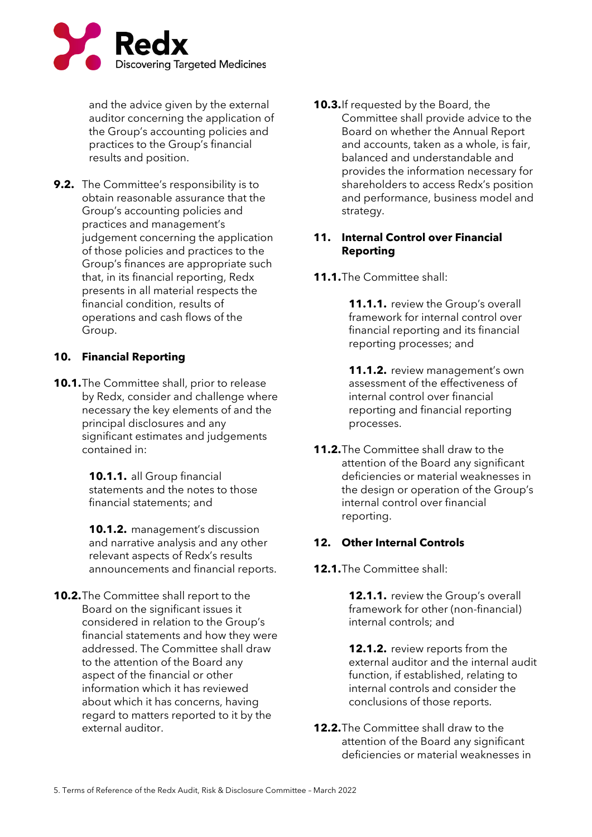

and the advice given by the external auditor concerning the application of the Group's accounting policies and practices to the Group's financial results and position.

**9.2.** The Committee's responsibility is to obtain reasonable assurance that the Group's accounting policies and practices and management's judgement concerning the application of those policies and practices to the Group's finances are appropriate such that, in its financial reporting, Redx presents in all material respects the financial condition, results of operations and cash flows of the Group.

## **10. Financial Reporting**

**10.1.**The Committee shall, prior to release by Redx, consider and challenge where necessary the key elements of and the principal disclosures and any significant estimates and judgements contained in:

> **10.1.1.** all Group financial statements and the notes to those financial statements; and

**10.1.2.** management's discussion and narrative analysis and any other relevant aspects of Redx's results announcements and financial reports.

**10.2.**The Committee shall report to the Board on the significant issues it considered in relation to the Group's financial statements and how they were addressed. The Committee shall draw to the attention of the Board any aspect of the financial or other information which it has reviewed about which it has concerns, having regard to matters reported to it by the external auditor.

**10.3.**If requested by the Board, the Committee shall provide advice to the Board on whether the Annual Report and accounts, taken as a whole, is fair, balanced and understandable and provides the information necessary for shareholders to access Redx's position and performance, business model and strategy.

## **11. Internal Control over Financial Reporting**

**11.1.**The Committee shall:

**11.1.1.** review the Group's overall framework for internal control over financial reporting and its financial reporting processes; and

**11.1.2.** review management's own assessment of the effectiveness of internal control over financial reporting and financial reporting processes.

**11.2.**The Committee shall draw to the attention of the Board any significant deficiencies or material weaknesses in the design or operation of the Group's internal control over financial reporting.

#### **12. Other Internal Controls**

**12.1.**The Committee shall:

**12.1.1.** review the Group's overall framework for other (non-financial) internal controls; and

**12.1.2.** review reports from the external auditor and the internal audit function, if established, relating to internal controls and consider the conclusions of those reports.

**12.2.**The Committee shall draw to the attention of the Board any significant deficiencies or material weaknesses in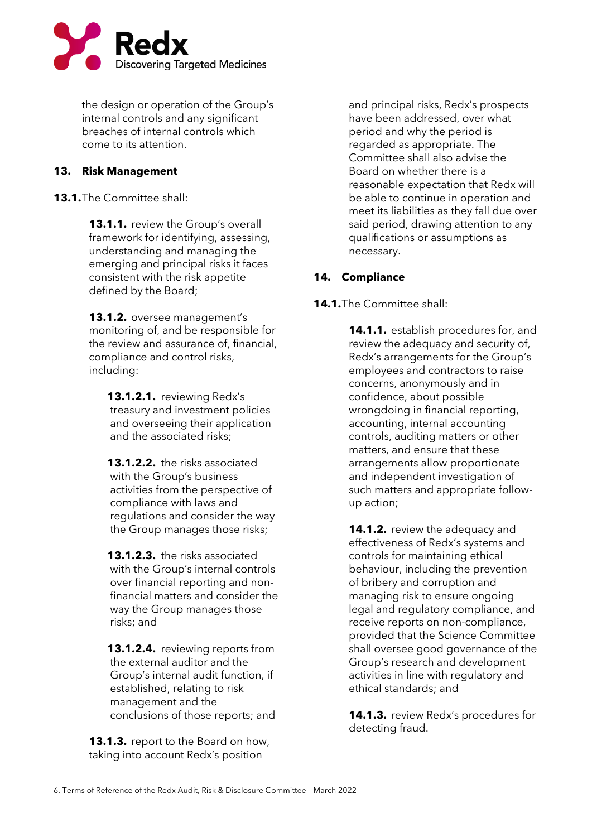

the design or operation of the Group's internal controls and any significant breaches of internal controls which come to its attention.

## **13. Risk Management**

**13.1.**The Committee shall:

**13.1.1.** review the Group's overall framework for identifying, assessing, understanding and managing the emerging and principal risks it faces consistent with the risk appetite defined by the Board;

**13.1.2.** oversee management's monitoring of, and be responsible for the review and assurance of, financial, compliance and control risks, including:

**13.1.2.1.** reviewing Redx's treasury and investment policies and overseeing their application and the associated risks;

**13.1.2.2.** the risks associated with the Group's business activities from the perspective of compliance with laws and regulations and consider the way the Group manages those risks;

**13.1.2.3.** the risks associated with the Group's internal controls over financial reporting and nonfinancial matters and consider the way the Group manages those risks; and

**13.1.2.4.** reviewing reports from the external auditor and the Group's internal audit function, if established, relating to risk management and the conclusions of those reports; and

**13.1.3.** report to the Board on how, taking into account Redx's position

and principal risks, Redx's prospects have been addressed, over what period and why the period is regarded as appropriate. The Committee shall also advise the Board on whether there is a reasonable expectation that Redx will be able to continue in operation and meet its liabilities as they fall due over said period, drawing attention to any qualifications or assumptions as necessary.

# **14. Compliance**

**14.1.**The Committee shall:

**14.1.1.** establish procedures for, and review the adequacy and security of, Redx's arrangements for the Group's employees and contractors to raise concerns, anonymously and in confidence, about possible wrongdoing in financial reporting, accounting, internal accounting controls, auditing matters or other matters, and ensure that these arrangements allow proportionate and independent investigation of such matters and appropriate followup action;

**14.1.2.** review the adequacy and effectiveness of Redx's systems and controls for maintaining ethical behaviour, including the prevention of bribery and corruption and managing risk to ensure ongoing legal and regulatory compliance, and receive reports on non-compliance, provided that the Science Committee shall oversee good governance of the Group's research and development activities in line with regulatory and ethical standards; and

**14.1.3.** review Redx's procedures for detecting fraud.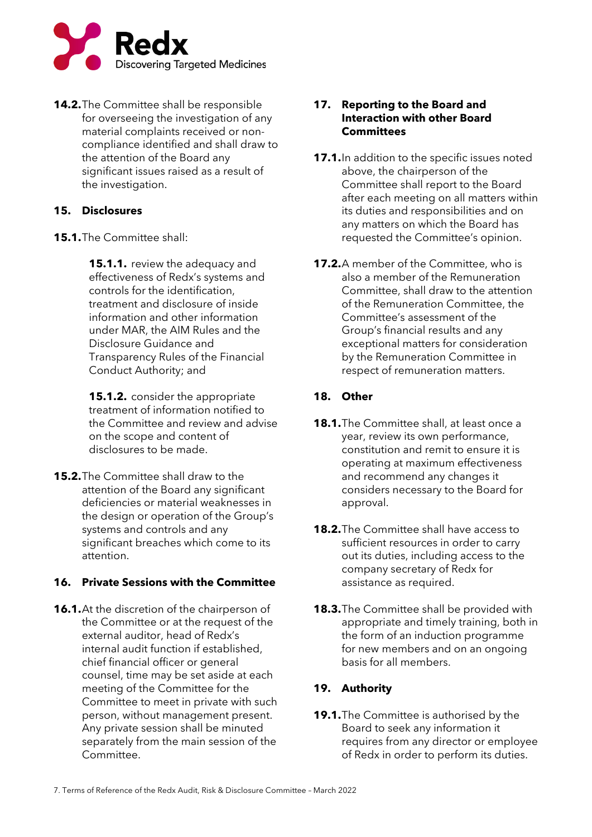

**14.2.**The Committee shall be responsible for overseeing the investigation of any material complaints received or noncompliance identified and shall draw to the attention of the Board any significant issues raised as a result of the investigation.

## **15. Disclosures**

**15.1.**The Committee shall:

**15.1.1.** review the adequacy and effectiveness of Redx's systems and controls for the identification, treatment and disclosure of inside information and other information under MAR, the AIM Rules and the Disclosure Guidance and Transparency Rules of the Financial Conduct Authority; and

**15.1.2.** consider the appropriate treatment of information notified to the Committee and review and advise on the scope and content of disclosures to be made.

**15.2.**The Committee shall draw to the attention of the Board any significant deficiencies or material weaknesses in the design or operation of the Group's systems and controls and any significant breaches which come to its attention.

# **16. Private Sessions with the Committee**

**16.1.**At the discretion of the chairperson of the Committee or at the request of the external auditor, head of Redx's internal audit function if established, chief financial officer or general counsel, time may be set aside at each meeting of the Committee for the Committee to meet in private with such person, without management present. Any private session shall be minuted separately from the main session of the Committee.

#### **17. Reporting to the Board and Interaction with other Board Committees**

- **17.1.**In addition to the specific issues noted above, the chairperson of the Committee shall report to the Board after each meeting on all matters within its duties and responsibilities and on any matters on which the Board has requested the Committee's opinion.
- **17.2.**A member of the Committee, who is also a member of the Remuneration Committee, shall draw to the attention of the Remuneration Committee, the Committee's assessment of the Group's financial results and any exceptional matters for consideration by the Remuneration Committee in respect of remuneration matters.

## **18. Other**

- **18.1.**The Committee shall, at least once a year, review its own performance, constitution and remit to ensure it is operating at maximum effectiveness and recommend any changes it considers necessary to the Board for approval.
- **18.2.**The Committee shall have access to sufficient resources in order to carry out its duties, including access to the company secretary of Redx for assistance as required.
- **18.3.**The Committee shall be provided with appropriate and timely training, both in the form of an induction programme for new members and on an ongoing basis for all members.

# **19. Authority**

**19.1.**The Committee is authorised by the Board to seek any information it requires from any director or employee of Redx in order to perform its duties.